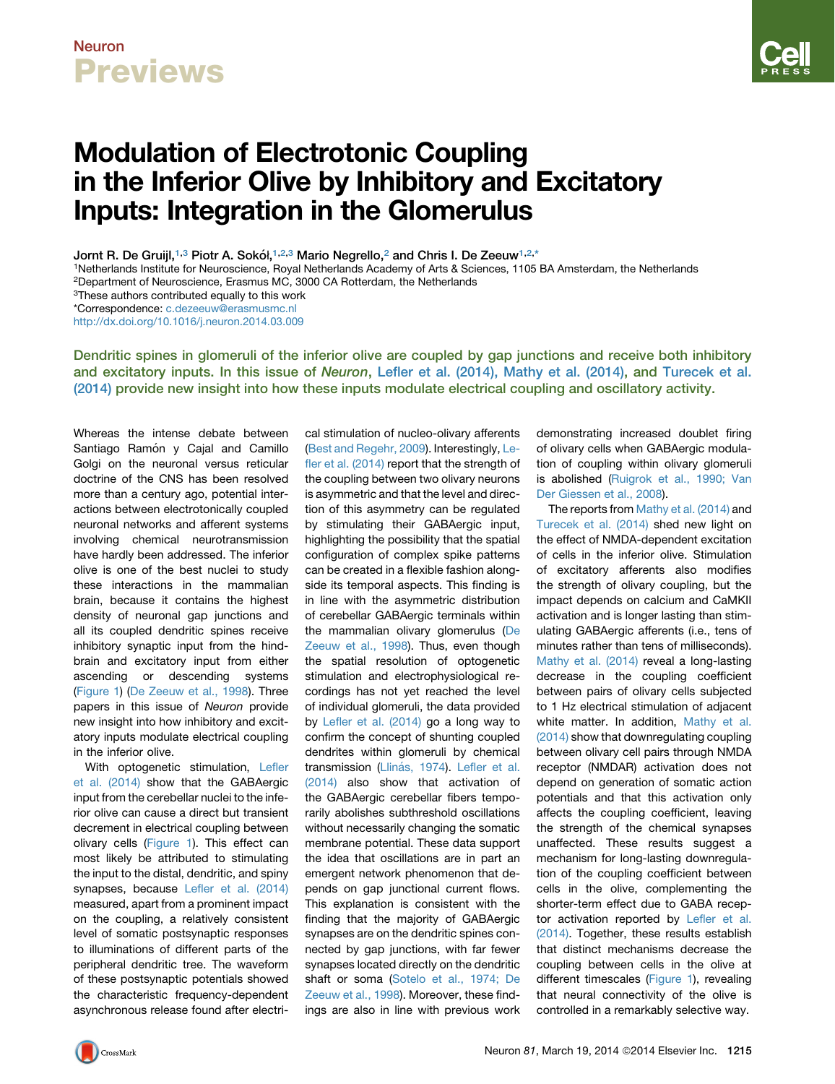## Neuron **Previews**

# Modulation of Electrotonic Coupling in the Inferior Olive by Inhibitory and Excitatory Inputs: Integration in the Glomerulus

Jornt R. De Gruijl,<sup>1,3</sup> Piotr A. Sokół,<sup>1,2,3</sup> Mario Negrello,<sup>2</sup> and Chris I. De Zeeuw<sup>1,2,\*</sup>

1Netherlands Institute for Neuroscience, Royal Netherlands Academy of Arts & Sciences, 1105 BA Amsterdam, the Netherlands 2Department of Neuroscience, Erasmus MC, 3000 CA Rotterdam, the Netherlands

3These authors contributed equally to this work

\*Correspondence: [c.dezeeuw@erasmusmc.nl](mailto:c.dezeeuw@erasmusmc.nl)

<http://dx.doi.org/10.1016/j.neuron.2014.03.009>

Dendritic spines in glomeruli of the inferior olive are coupled by gap junctions and receive both inhibitory and excitatory inputs. In this issue of Neuron, [Lefler et al. \(2014\), Mathy et al. \(2014\)](#page-2-0), and [Turecek et al.](#page-2-0) [\(2014\)](#page-2-0) provide new insight into how these inputs modulate electrical coupling and oscillatory activity.

Whereas the intense debate between Santiago Ramón y Cajal and Camillo Golgi on the neuronal versus reticular doctrine of the CNS has been resolved more than a century ago, potential interactions between electrotonically coupled neuronal networks and afferent systems involving chemical neurotransmission have hardly been addressed. The inferior olive is one of the best nuclei to study these interactions in the mammalian brain, because it contains the highest density of neuronal gap junctions and all its coupled dendritic spines receive inhibitory synaptic input from the hindbrain and excitatory input from either ascending or descending systems [\(Figure 1\)](#page-1-0) [\(De Zeeuw et al., 1998](#page-2-0)). Three papers in this issue of *Neuron* provide new insight into how inhibitory and excitatory inputs modulate electrical coupling in the inferior olive.

With optogenetic stimulation, [Lefler](#page-2-0) [et al. \(2014\)](#page-2-0) show that the GABAergic input from the cerebellar nuclei to the inferior olive can cause a direct but transient decrement in electrical coupling between olivary cells [\(Figure 1](#page-1-0)). This effect can most likely be attributed to stimulating the input to the distal, dendritic, and spiny synapses, because [Lefler et al. \(2014\)](#page-2-0) measured, apart from a prominent impact on the coupling, a relatively consistent level of somatic postsynaptic responses to illuminations of different parts of the peripheral dendritic tree. The waveform of these postsynaptic potentials showed the characteristic frequency-dependent asynchronous release found after electrical stimulation of nucleo-olivary afferents ([Best and Regehr, 2009](#page-2-0)). Interestingly, [Le](#page-2-0)[fler et al. \(2014\)](#page-2-0) report that the strength of the coupling between two olivary neurons is asymmetric and that the level and direction of this asymmetry can be regulated by stimulating their GABAergic input, highlighting the possibility that the spatial configuration of complex spike patterns can be created in a flexible fashion alongside its temporal aspects. This finding is in line with the asymmetric distribution of cerebellar GABAergic terminals within the mammalian olivary glomerulus [\(De](#page-2-0) [Zeeuw et al., 1998\)](#page-2-0). Thus, even though the spatial resolution of optogenetic stimulation and electrophysiological recordings has not yet reached the level of individual glomeruli, the data provided by [Lefler et al. \(2014\)](#page-2-0) go a long way to confirm the concept of shunting coupled dendrites within glomeruli by chemical transmission (Lliná[s, 1974\)](#page-2-0). [Lefler et al.](#page-2-0) [\(2014\)](#page-2-0) also show that activation of the GABAergic cerebellar fibers temporarily abolishes subthreshold oscillations without necessarily changing the somatic membrane potential. These data support the idea that oscillations are in part an emergent network phenomenon that depends on gap junctional current flows. This explanation is consistent with the finding that the majority of GABAergic synapses are on the dendritic spines connected by gap junctions, with far fewer synapses located directly on the dendritic shaft or soma [\(Sotelo et al., 1974; De](#page-2-0) [Zeeuw et al., 1998\)](#page-2-0). Moreover, these findings are also in line with previous work

demonstrating increased doublet firing of olivary cells when GABAergic modulation of coupling within olivary glomeruli is abolished ([Ruigrok et al., 1990; Van](#page-2-0) [Der Giessen et al., 2008](#page-2-0)).

The reports from [Mathy et al. \(2014\)](#page-2-0) and [Turecek et al. \(2014\)](#page-2-0) shed new light on the effect of NMDA-dependent excitation of cells in the inferior olive. Stimulation of excitatory afferents also modifies the strength of olivary coupling, but the impact depends on calcium and CaMKII activation and is longer lasting than stimulating GABAergic afferents (i.e., tens of minutes rather than tens of milliseconds). [Mathy et al. \(2014\)](#page-2-0) reveal a long-lasting decrease in the coupling coefficient between pairs of olivary cells subjected to 1 Hz electrical stimulation of adjacent white matter. In addition, [Mathy et al.](#page-2-0) [\(2014\)](#page-2-0) show that downregulating coupling between olivary cell pairs through NMDA receptor (NMDAR) activation does not depend on generation of somatic action potentials and that this activation only affects the coupling coefficient, leaving the strength of the chemical synapses unaffected. These results suggest a mechanism for long-lasting downregulation of the coupling coefficient between cells in the olive, complementing the shorter-term effect due to GABA receptor activation reported by [Lefler et al.](#page-2-0) [\(2014\).](#page-2-0) Together, these results establish that distinct mechanisms decrease the coupling between cells in the olive at different timescales ([Figure 1\)](#page-1-0), revealing that neural connectivity of the olive is controlled in a remarkably selective way.

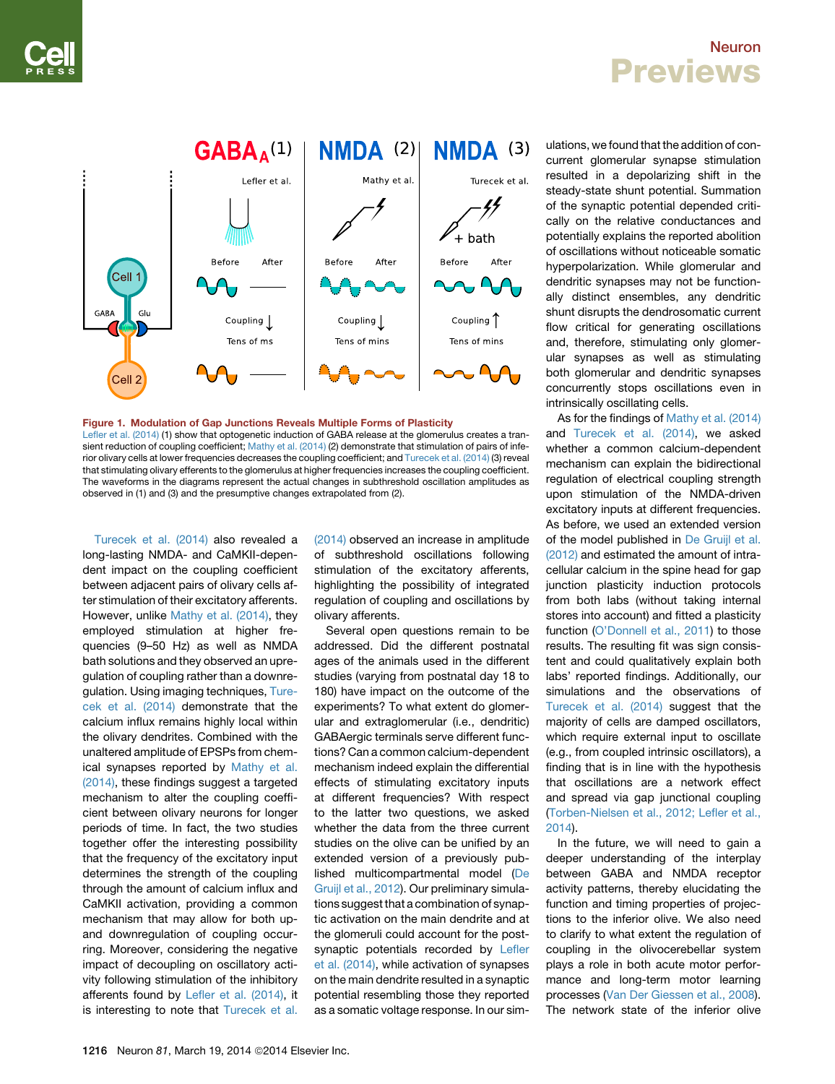### Neuron **Previews**

<span id="page-1-0"></span>

#### Figure 1. Modulation of Gap Junctions Reveals Multiple Forms of Plasticity [Lefler et al. \(2014\)](#page-2-0) (1) show that optogenetic induction of GABA release at the glomerulus creates a tran-sient reduction of coupling coefficient; [Mathy et al. \(2014\)](#page-2-0) (2) demonstrate that stimulation of pairs of infe-rior olivary cells at lower frequencies decreases the coupling coefficient; and [Turecek et al. \(2014\)](#page-2-0) (3) reveal that stimulating olivary efferents to the glomerulus at higher frequencies increases the coupling coefficient. The waveforms in the diagrams represent the actual changes in subthreshold oscillation amplitudes as observed in (1) and (3) and the presumptive changes extrapolated from (2).

[Turecek et al. \(2014\)](#page-2-0) also revealed a long-lasting NMDA- and CaMKII-dependent impact on the coupling coefficient between adjacent pairs of olivary cells after stimulation of their excitatory afferents. However, unlike [Mathy et al. \(2014\)](#page-2-0), they employed stimulation at higher frequencies (9–50 Hz) as well as NMDA bath solutions and they observed an upregulation of coupling rather than a downregulation. Using imaging techniques, [Ture](#page-2-0)[cek et al. \(2014\)](#page-2-0) demonstrate that the calcium influx remains highly local within the olivary dendrites. Combined with the unaltered amplitude of EPSPs from chemical synapses reported by [Mathy et al.](#page-2-0) [\(2014\),](#page-2-0) these findings suggest a targeted mechanism to alter the coupling coefficient between olivary neurons for longer periods of time. In fact, the two studies together offer the interesting possibility that the frequency of the excitatory input determines the strength of the coupling through the amount of calcium influx and CaMKII activation, providing a common mechanism that may allow for both upand downregulation of coupling occurring. Moreover, considering the negative impact of decoupling on oscillatory activity following stimulation of the inhibitory afferents found by [Lefler et al. \(2014\),](#page-2-0) it is interesting to note that [Turecek et al.](#page-2-0)

[\(2014\)](#page-2-0) observed an increase in amplitude of subthreshold oscillations following stimulation of the excitatory afferents, highlighting the possibility of integrated regulation of coupling and oscillations by olivary afferents.

Several open questions remain to be addressed. Did the different postnatal ages of the animals used in the different studies (varying from postnatal day 18 to 180) have impact on the outcome of the experiments? To what extent do glomerular and extraglomerular (i.e., dendritic) GABAergic terminals serve different functions? Can a common calcium-dependent mechanism indeed explain the differential effects of stimulating excitatory inputs at different frequencies? With respect to the latter two questions, we asked whether the data from the three current studies on the olive can be unified by an extended version of a previously published multicompartmental model ([De](#page-2-0) [Gruijl et al., 2012](#page-2-0)). Our preliminary simulations suggest that a combination of synaptic activation on the main dendrite and at the glomeruli could account for the postsynaptic potentials recorded by [Lefler](#page-2-0) [et al. \(2014\)](#page-2-0), while activation of synapses on the main dendrite resulted in a synaptic potential resembling those they reported as a somatic voltage response. In our simulations, we found that the addition of concurrent glomerular synapse stimulation resulted in a depolarizing shift in the steady-state shunt potential. Summation of the synaptic potential depended critically on the relative conductances and potentially explains the reported abolition of oscillations without noticeable somatic hyperpolarization. While glomerular and dendritic synapses may not be functionally distinct ensembles, any dendritic shunt disrupts the dendrosomatic current flow critical for generating oscillations and, therefore, stimulating only glomerular synapses as well as stimulating both glomerular and dendritic synapses concurrently stops oscillations even in intrinsically oscillating cells.

As for the findings of [Mathy et al. \(2014\)](#page-2-0) and [Turecek et al. \(2014\),](#page-2-0) we asked whether a common calcium-dependent mechanism can explain the bidirectional regulation of electrical coupling strength upon stimulation of the NMDA-driven excitatory inputs at different frequencies. As before, we used an extended version of the model published in [De Gruijl et al.](#page-2-0) [\(2012\)](#page-2-0) and estimated the amount of intracellular calcium in the spine head for gap junction plasticity induction protocols from both labs (without taking internal stores into account) and fitted a plasticity function [\(O'Donnell et al., 2011](#page-2-0)) to those results. The resulting fit was sign consistent and could qualitatively explain both labs' reported findings. Additionally, our simulations and the observations of [Turecek et al. \(2014\)](#page-2-0) suggest that the majority of cells are damped oscillators, which require external input to oscillate (e.g., from coupled intrinsic oscillators), a finding that is in line with the hypothesis that oscillations are a network effect and spread via gap junctional coupling ([Torben-Nielsen et al., 2012; Lefler et al.,](#page-2-0) [2014](#page-2-0)).

In the future, we will need to gain a deeper understanding of the interplay between GABA and NMDA receptor activity patterns, thereby elucidating the function and timing properties of projections to the inferior olive. We also need to clarify to what extent the regulation of coupling in the olivocerebellar system plays a role in both acute motor performance and long-term motor learning processes [\(Van Der Giessen et al., 2008](#page-2-0)). The network state of the inferior olive